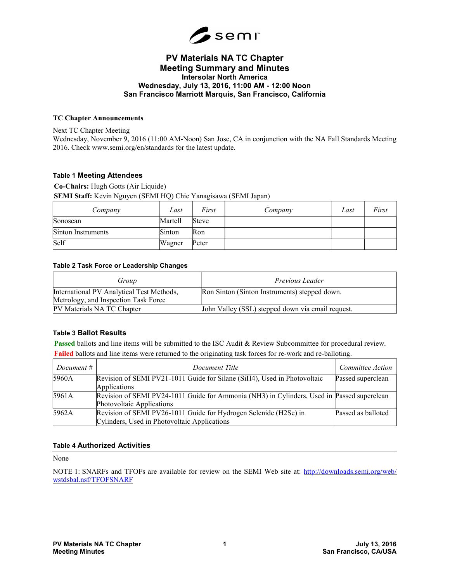

# PV Materials NA TC Chapter Meeting Summary and Minutes Intersolar North America Wednesday, July 13, 2016, 11:00 AM - 12:00 Noon San Francisco Marriott Marquis, San Francisco, California

#### TC Chapter Announcements

Next TC Chapter Meeting

Wednesday, November 9, 2016 (11:00 AM-Noon) San Jose, CA in conjunction with the NA Fall Standards Meeting 2016. Check www.semi.org/en/standards for the latest update.

#### Table 1 Meeting Attendees

Co-Chairs: Hugh Gotts (Air Liquide)

SEMI Staff: Kevin Nguyen (SEMI HQ) Chie Yanagisawa (SEMI Japan)

| Company            | Last    | First | Company | Last | First |
|--------------------|---------|-------|---------|------|-------|
| Sonoscan           | Martell | Steve |         |      |       |
| Sinton Instruments | Sinton  | Ron   |         |      |       |
| Self               | Wagner  | Peter |         |      |       |

#### Table 2 Task Force or Leadership Changes

| Group                                                                             | Previous Leader                                   |
|-----------------------------------------------------------------------------------|---------------------------------------------------|
| International PV Analytical Test Methods,<br>Metrology, and Inspection Task Force | Ron Sinton (Sinton Instruments) stepped down.     |
| PV Materials NA TC Chapter                                                        | John Valley (SSL) stepped down via email request. |

## Table 3 Ballot Results

Passed ballots and line items will be submitted to the ISC Audit & Review Subcommittee for procedural review. Failed ballots and line items were returned to the originating task forces for re-work and re-balloting.

| Document $#$ | Document Title                                                                                                          | Committee Action   |
|--------------|-------------------------------------------------------------------------------------------------------------------------|--------------------|
| 5960A        | Revision of SEMI PV21-1011 Guide for Silane (SiH4), Used in Photovoltaic<br>Applications                                | Passed superclean  |
| 5961A        | Revision of SEMI PV24-1011 Guide for Ammonia (NH3) in Cylinders, Used in Passed superclean<br>Photovoltaic Applications |                    |
| 5962A        | Revision of SEMI PV26-1011 Guide for Hydrogen Selenide (H2Se) in<br>Cylinders, Used in Photovoltaic Applications        | Passed as balloted |

## Table 4 Authorized Activities

None

NOTE 1: SNARFs and TFOFs are available for review on the SEMI Web site at: http://downloads.semi.org/web/ wstdsbal.nsf/TFOFSNARF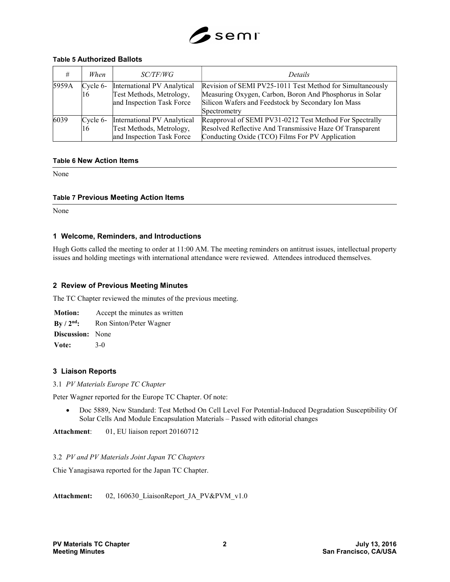

#### Table 5 Authorized Ballots

|       | When              | <i>SC/TF/WG</i>                                                                      | <i>Details</i>                                                                                                                                                                             |
|-------|-------------------|--------------------------------------------------------------------------------------|--------------------------------------------------------------------------------------------------------------------------------------------------------------------------------------------|
| 5959A | $C$ ycle 6-<br>16 | International PV Analytical<br>Test Methods, Metrology,<br>and Inspection Task Force | Revision of SEMI PV25-1011 Test Method for Simultaneously<br>Measuring Oxygen, Carbon, Boron And Phosphorus in Solar<br>Silicon Wafers and Feedstock by Secondary Ion Mass<br>Spectrometry |
| 6039  | Cycle $6-$<br>16  | International PV Analytical<br>Test Methods, Metrology,<br>and Inspection Task Force | Reapproval of SEMI PV31-0212 Test Method For Spectrally<br>Resolved Reflective And Transmissive Haze Of Transparent<br>Conducting Oxide (TCO) Films For PV Application                     |

#### Table 6 New Action Items

None

#### Table 7 Previous Meeting Action Items

None

## 1 Welcome, Reminders, and Introductions

Hugh Gotts called the meeting to order at 11:00 AM. The meeting reminders on antitrust issues, intellectual property issues and holding meetings with international attendance were reviewed. Attendees introduced themselves.

#### 2 Review of Previous Meeting Minutes

The TC Chapter reviewed the minutes of the previous meeting.

Motion: Accept the minutes as written By / 2<sup>nd</sup>: Ron Sinton/Peter Wagner Discussion: None Vote: 3-0

## 3 Liaison Reports

3.1 PV Materials Europe TC Chapter

Peter Wagner reported for the Europe TC Chapter. Of note:

 Doc 5889, New Standard: Test Method On Cell Level For Potential-Induced Degradation Susceptibility Of Solar Cells And Module Encapsulation Materials – Passed with editorial changes

Attachment: 01, EU liaison report 20160712

#### 3.2 PV and PV Materials Joint Japan TC Chapters

Chie Yanagisawa reported for the Japan TC Chapter.

Attachment: 02, 160630\_LiaisonReport\_JA\_PV&PVM\_v1.0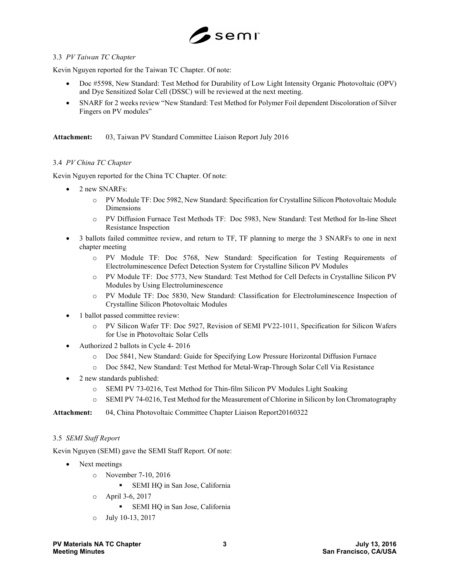

## 3.3 PV Taiwan TC Chapter

Kevin Nguyen reported for the Taiwan TC Chapter. Of note:

- Doc #5598, New Standard: Test Method for Durability of Low Light Intensity Organic Photovoltaic (OPV) and Dye Sensitized Solar Cell (DSSC) will be reviewed at the next meeting.
- SNARF for 2 weeks review "New Standard: Test Method for Polymer Foil dependent Discoloration of Silver Fingers on PV modules"

Attachment: 03, Taiwan PV Standard Committee Liaison Report July 2016

## 3.4 PV China TC Chapter

Kevin Nguyen reported for the China TC Chapter. Of note:

- 2 new SNARFs:
	- o PV Module TF: Doc 5982, New Standard: Specification for Crystalline Silicon Photovoltaic Module Dimensions
	- o PV Diffusion Furnace Test Methods TF: Doc 5983, New Standard: Test Method for In-line Sheet Resistance Inspection
- 3 ballots failed committee review, and return to TF, TF planning to merge the 3 SNARFs to one in next chapter meeting
	- o PV Module TF: Doc 5768, New Standard: Specification for Testing Requirements of Electroluminescence Defect Detection System for Crystalline Silicon PV Modules
	- o PV Module TF: Doc 5773, New Standard: Test Method for Cell Defects in Crystalline Silicon PV Modules by Using Electroluminescence
	- o PV Module TF: Doc 5830, New Standard: Classification for Electroluminescence Inspection of Crystalline Silicon Photovoltaic Modules
- 1 ballot passed committee review:
	- o PV Silicon Wafer TF: Doc 5927, Revision of SEMI PV22-1011, Specification for Silicon Wafers for Use in Photovoltaic Solar Cells
- Authorized 2 ballots in Cycle 4- 2016
	- o Doc 5841, New Standard: Guide for Specifying Low Pressure Horizontal Diffusion Furnace
	- o Doc 5842, New Standard: Test Method for Metal-Wrap-Through Solar Cell Via Resistance
- 2 new standards published:
	- o SEMI PV 73-0216, Test Method for Thin-film Silicon PV Modules Light Soaking
	- o SEMI PV 74-0216, Test Method for the Measurement of Chlorine in Silicon by Ion Chromatography

Attachment: 04, China Photovoltaic Committee Chapter Liaison Report20160322

## 3.5 SEMI Staff Report

Kevin Nguyen (SEMI) gave the SEMI Staff Report. Of note:

- Next meetings
	- o November 7-10, 2016
		- **SEMI HQ in San Jose, California**
	- o April 3-6, 2017
		- SEMI HQ in San Jose, California
	- o July 10-13, 2017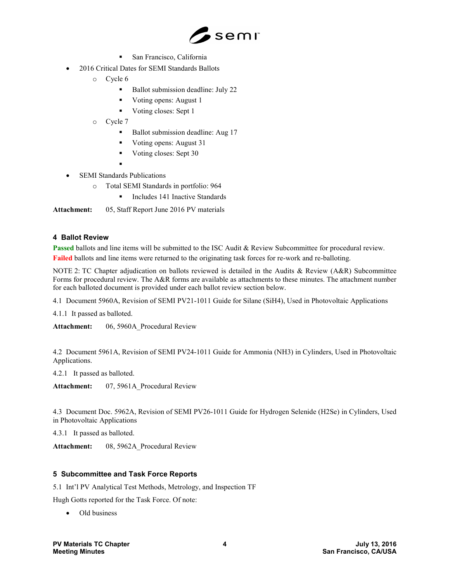

- San Francisco, California
- 2016 Critical Dates for SEMI Standards Ballots
	- o Cycle 6
		- Ballot submission deadline: July 22
		- Voting opens: August 1
		- Voting closes: Sept 1
	- o Cycle 7
		- Ballot submission deadline: Aug 17
		- Voting opens: August 31
		- Voting closes: Sept 30
		- ۰
- SEMI Standards Publications
	- o Total SEMI Standards in portfolio: 964
		- Includes 141 Inactive Standards

Attachment: 05, Staff Report June 2016 PV materials

## 4 Ballot Review

Passed ballots and line items will be submitted to the ISC Audit & Review Subcommittee for procedural review. Failed ballots and line items were returned to the originating task forces for re-work and re-balloting.

NOTE 2: TC Chapter adjudication on ballots reviewed is detailed in the Audits & Review (A&R) Subcommittee Forms for procedural review. The A&R forms are available as attachments to these minutes. The attachment number for each balloted document is provided under each ballot review section below.

4.1 Document 5960A, Revision of SEMI PV21-1011 Guide for Silane (SiH4), Used in Photovoltaic Applications

4.1.1 It passed as balloted.

Attachment: 06, 5960A Procedural Review

4.2 Document 5961A, Revision of SEMI PV24-1011 Guide for Ammonia (NH3) in Cylinders, Used in Photovoltaic Applications.

4.2.1 It passed as balloted.

Attachment: 07, 5961A Procedural Review

4.3 Document Doc. 5962A, Revision of SEMI PV26-1011 Guide for Hydrogen Selenide (H2Se) in Cylinders, Used in Photovoltaic Applications

4.3.1 It passed as balloted.

Attachment: 08, 5962A Procedural Review

# 5 Subcommittee and Task Force Reports

5.1 Int'l PV Analytical Test Methods, Metrology, and Inspection TF

Hugh Gotts reported for the Task Force. Of note:

Old business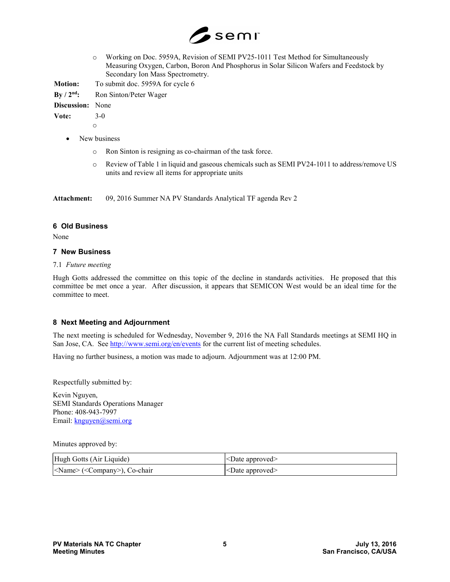

o Working on Doc. 5959A, Revision of SEMI PV25-1011 Test Method for Simultaneously Measuring Oxygen, Carbon, Boron And Phosphorus in Solar Silicon Wafers and Feedstock by Secondary Ion Mass Spectrometry.

Motion: To submit doc. 5959A for cycle 6

By / 2<sup>nd</sup>: Ron Sinton/Peter Wager

Discussion: None

Vote: 3-0

o

- New business
	- o Ron Sinton is resigning as co-chairman of the task force.
	- o Review of Table 1 in liquid and gaseous chemicals such as SEMI PV24-1011 to address/remove US units and review all items for appropriate units

Attachment: 09, 2016 Summer NA PV Standards Analytical TF agenda Rev 2

# 6 Old Business

None

## 7 New Business

## 7.1 Future meeting

Hugh Gotts addressed the committee on this topic of the decline in standards activities. He proposed that this committee be met once a year. After discussion, it appears that SEMICON West would be an ideal time for the committee to meet.

# 8 Next Meeting and Adjournment

The next meeting is scheduled for Wednesday, November 9, 2016 the NA Fall Standards meetings at SEMI HQ in San Jose, CA. See http://www.semi.org/en/events for the current list of meeting schedules.

Having no further business, a motion was made to adjourn. Adjournment was at 12:00 PM.

Respectfully submitted by:

Kevin Nguyen, SEMI Standards Operations Manager Phone: 408-943-7997 Email: knguyen@semi.org

Minutes approved by:

| Hugh Gotts (Air Liquide)                      | $\leq$ Date approved>     |
|-----------------------------------------------|---------------------------|
| <name> (<company>), Co-chair</company></name> | <date approved=""></date> |